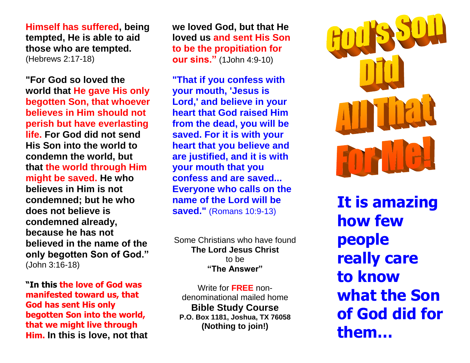**Himself has suffered, being tempted, He is able to aid those who are tempted.** (Hebrews 2:17-18)

**"For God so loved the world that He gave His only begotten Son, that whoever believes in Him should not perish but have everlasting life. For God did not send His Son into the world to condemn the world, but that the world through Him might be saved. He who believes in Him is not condemned; but he who does not believe is condemned already, because he has not believed in the name of the only begotten Son of God."** (John 3:16-18)

**"In this the love of God was manifested toward us, that God has sent His only begotten Son into the world, that we might live through Him. In this is love, not that**

**we loved God, but that He loved us and sent His Son to be the propitiation for our sins."** (1John 4:9-10)

**"That if you confess with your mouth, 'Jesus is Lord,' and believe in your heart that God raised Him from the dead, you will be saved. For it is with your heart that you believe and are justified, and it is with your mouth that you confess and are saved... Everyone who calls on the name of the Lord will be saved."** (Romans 10:9-13)

Some Christians who have found **The Lord Jesus Christ** to be **"The Answer"**

Write for **FREE** nondenominational mailed home **Bible Study Course P.O. Box 1181, Joshua, TX 76058 (Nothing to join!)**



 **It is amazing how few people really care to know what the Son of God did for them…**